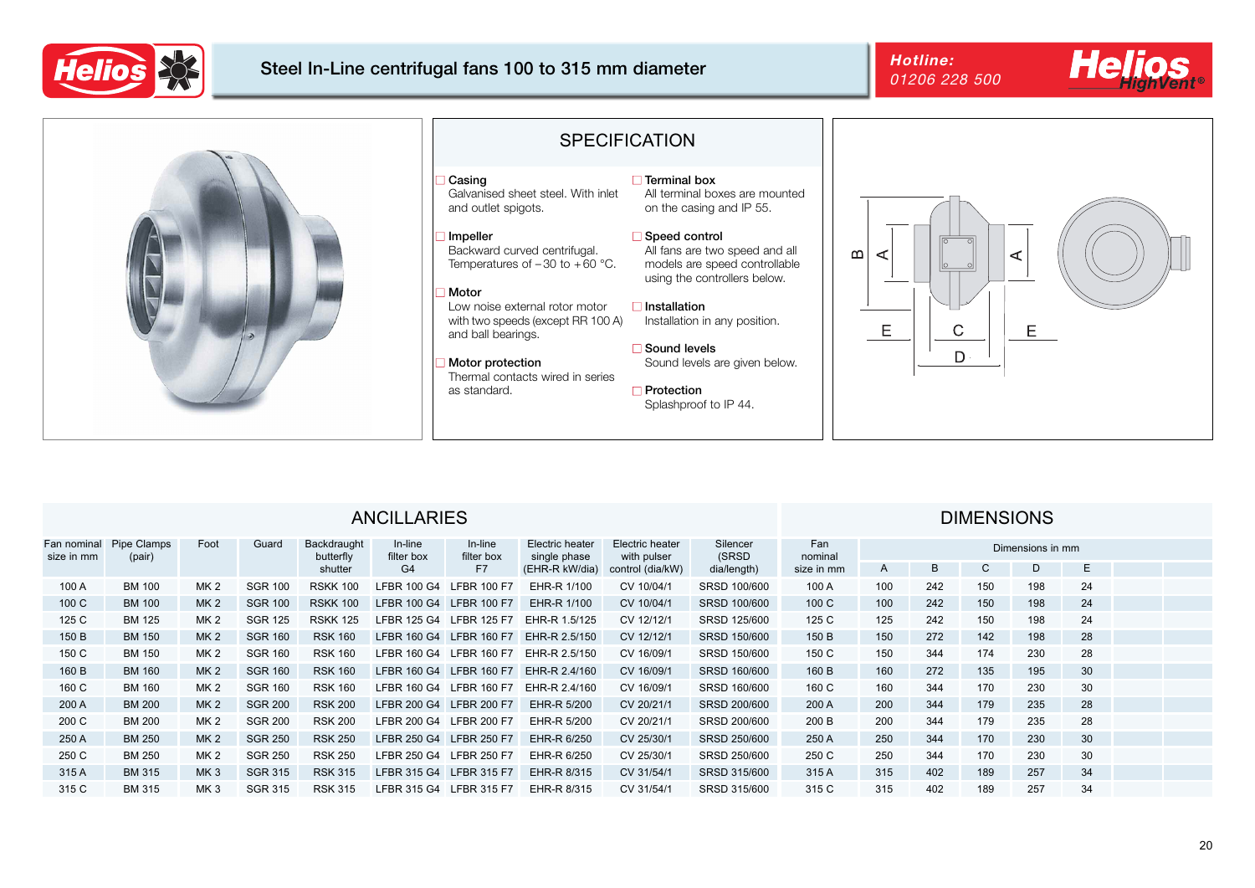

## Steel In-Line centrifugal fans 100 to 315 mm diameter **Hotline:**<br>at a case of

# 01206 228 500

### □ Terminal box

All terminal boxes are mounted on the casing and IP 55.

### ■ Speed control

All fans are two speed and all models are speed controllable using the controllers below.

Installation in any position.

### ■ Sound levels

Sound levels are given below.

Splashproof to IP 44.



## **DIMENSIONS**





## ANCILLARIES

| <b>Fan nominal</b><br>size in mm | <b>Pipe Clamps</b><br>(pair) | Foot            | Guard          | Backdraught<br>butterfly | In-line<br>filter box   | In-line<br>filter box   | <b>Electric heater</b><br>single phase | <b>Electric heater</b><br>with pulser | Silencer<br><b>(SRSD</b> | Fan<br>nominal | Dimensions in mm |     |     |     |    |  |  |
|----------------------------------|------------------------------|-----------------|----------------|--------------------------|-------------------------|-------------------------|----------------------------------------|---------------------------------------|--------------------------|----------------|------------------|-----|-----|-----|----|--|--|
|                                  |                              |                 |                | shutter                  | G4                      | F7                      |                                        | (EHR-R kW/dia) control (dia/kW)       | dia/length)              | size in mm     | $\overline{A}$   | Β   |     | D   | E  |  |  |
| 100 A                            | <b>BM 100</b>                | <b>MK 2</b>     | <b>SGR 100</b> | <b>RSKK 100</b>          | LFBR 100 G4 LFBR 100 F7 |                         | <b>EHR-R 1/100</b>                     | CV 10/04/1                            | <b>SRSD 100/600</b>      | 100 A          | 100              | 242 | 150 | 198 | 24 |  |  |
| 100 C                            | <b>BM 100</b>                | MK <sub>2</sub> | <b>SGR 100</b> | <b>RSKK 100</b>          | LFBR 100 G4 LFBR 100 F7 |                         | <b>EHR-R 1/100</b>                     | CV 10/04/1                            | <b>SRSD 100/600</b>      | 100 C          | 100              | 242 | 150 | 198 | 24 |  |  |
| 125 C                            | <b>BM 125</b>                | <b>MK 2</b>     | <b>SGR 125</b> | <b>RSKK 125</b>          |                         | LFBR 125 G4 LFBR 125 F7 | EHR-R 1.5/125                          | CV 12/12/1                            | <b>SRSD 125/600</b>      | 125 C          | 125              | 242 | 150 | 198 | 24 |  |  |
| 150 B                            | <b>BM 150</b>                | MK <sub>2</sub> | <b>SGR 160</b> | <b>RSK 160</b>           | <b>LFBR 160 G4</b>      | <b>LFBR 160 F7</b>      | <b>EHR-R 2.5/150</b>                   | CV 12/12/1                            | <b>SRSD 150/600</b>      | 150 B          | 150              | 272 | 142 | 198 | 28 |  |  |
| 150 C                            | <b>BM 150</b>                | <b>MK2</b>      | <b>SGR 160</b> | <b>RSK 160</b>           | LFBR 160 G4 LFBR 160 F7 |                         | EHR-R 2.5/150                          | CV 16/09/1                            | <b>SRSD 150/600</b>      | 150 C          | 150              | 344 | 174 | 230 | 28 |  |  |
| 160 B                            | <b>BM 160</b>                | <b>MK 2</b>     | <b>SGR 160</b> | <b>RSK 160</b>           | LFBR 160 G4 LFBR 160 F7 |                         | EHR-R 2.4/160                          | CV 16/09/1                            | <b>SRSD 160/600</b>      | 160 B          | 160              | 272 | 135 | 195 | 30 |  |  |
| 160 C                            | <b>BM 160</b>                | <b>MK2</b>      | <b>SGR 160</b> | <b>RSK 160</b>           | <b>LFBR 160 G4</b>      | <b>LFBR 160 F7</b>      | EHR-R 2.4/160                          | CV 16/09/1                            | <b>SRSD 160/600</b>      | 160 C          | 160              | 344 | 170 | 230 | 30 |  |  |
| 200 A                            | <b>BM 200</b>                | MK 2            | <b>SGR 200</b> | <b>RSK 200</b>           | LFBR 200 G4 LFBR 200 F7 |                         | <b>EHR-R 5/200</b>                     | CV 20/21/1                            | <b>SRSD 200/600</b>      | 200 A          | 200              | 344 | 179 | 235 | 28 |  |  |
| 200 C                            | <b>BM 200</b>                | MK <sub>2</sub> | <b>SGR 200</b> | <b>RSK 200</b>           |                         | LFBR 200 G4 LFBR 200 F7 | <b>EHR-R 5/200</b>                     | CV 20/21/1                            | <b>SRSD 200/600</b>      | 200B           | 200              | 344 | 179 | 235 | 28 |  |  |
| 250 A                            | <b>BM 250</b>                | MK 2            | <b>SGR 250</b> | <b>RSK 250</b>           | LFBR 250 G4 LFBR 250 F7 |                         | <b>EHR-R 6/250</b>                     | CV 25/30/1                            | <b>SRSD 250/600</b>      | 250 A          | 250              | 344 | 170 | 230 | 30 |  |  |
| 250 C                            | <b>BM 250</b>                | MK <sub>2</sub> | <b>SGR 250</b> | <b>RSK 250</b>           | LFBR 250 G4 LFBR 250 F7 |                         | <b>EHR-R 6/250</b>                     | CV 25/30/1                            | <b>SRSD 250/600</b>      | 250 C          | 250              | 344 | 170 | 230 | 30 |  |  |
| 315 A                            | <b>BM 315</b>                | MK <sub>3</sub> | <b>SGR 315</b> | <b>RSK 315</b>           | LFBR 315 G4 LFBR 315 F7 |                         | <b>EHR-R 8/315</b>                     | CV 31/54/1                            | <b>SRSD 315/600</b>      | 315 A          | 315              | 402 | 189 | 257 | 34 |  |  |
| 315 C                            | <b>BM 315</b>                | MK <sub>3</sub> | <b>SGR 315</b> | <b>RSK 315</b>           |                         | LFBR 315 G4 LFBR 315 F7 | <b>EHR-R 8/315</b>                     | CV 31/54/1                            | <b>SRSD 315/600</b>      | 315 C          | 315              | 402 | 189 | 257 | 34 |  |  |